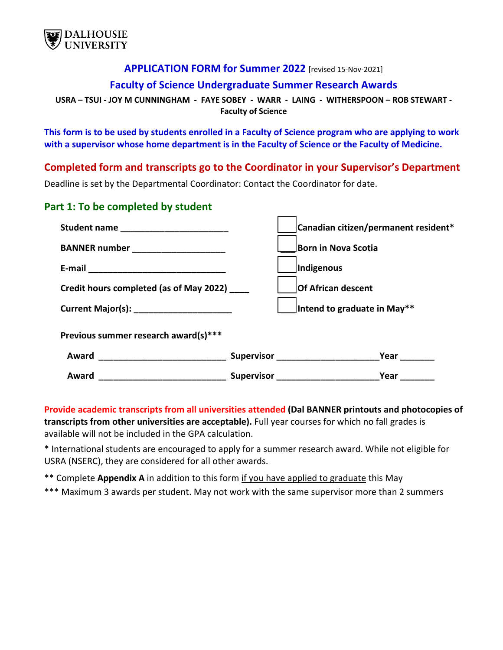

#### **APPLICATION FORM for Summer 2022** [revised 15-Nov-2021]

#### **Faculty of Science Undergraduate Summer Research Awards**

**USRA – TSUI - JOY M CUNNINGHAM - FAYE SOBEY - WARR - LAING - WITHERSPOON – ROB STEWART - Faculty of Science**

**This form is to be used by students enrolled in a Faculty of Science program who are applying to work with a supervisor whose home department is in the Faculty of Science or the Faculty of Medicine.** 

**Completed form and transcripts go to the Coordinator in your Supervisor's Department** 

Deadline is set by the Departmental Coordinator: Contact the Coordinator for date.

#### **Part 1: To be completed by student**

| Student name __________________________                                   | Canadian citizen/permanent resident* |
|---------------------------------------------------------------------------|--------------------------------------|
| BANNER number _____________________                                       | Born in Nova Scotia                  |
|                                                                           | Indigenous                           |
| Credit hours completed (as of May 2022)                                   | <b>Of African descent</b>            |
| Current Major(s): _______________________                                 | Intend to graduate in May**          |
| Previous summer research award(s)***                                      |                                      |
|                                                                           | Year                                 |
| Award<br><u> 1989 - Jan James James Barnett, fransk politik (d. 1989)</u> | <b>Supervisor Supervisor</b><br>Year |

**Provide academic transcripts from all universities attended (Dal BANNER printouts and photocopies of transcripts from other universities are acceptable).** Full year courses for which no fall grades is available will not be included in the GPA calculation.

\* International students are encouraged to apply for a summer research award. While not eligible for USRA (NSERC), they are considered for all other awards.

\*\* Complete **Appendix A** in addition to this form if you have applied to graduate this May

\*\*\* Maximum 3 awards per student. May not work with the same supervisor more than 2 summers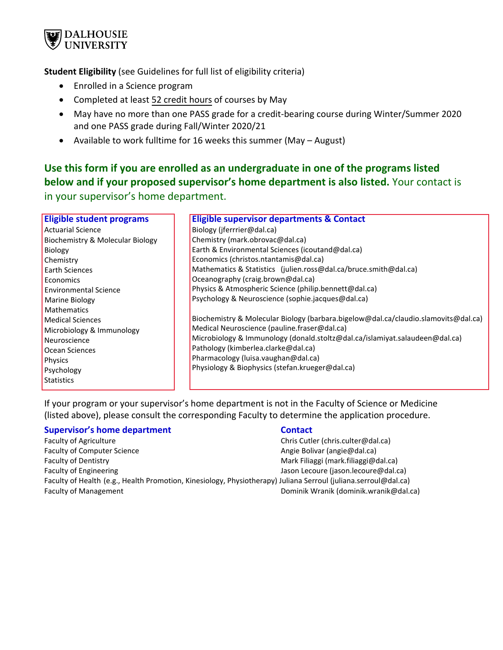

**Student Eligibility** (see Guidelines for full list of eligibility criteria)

- Enrolled in a Science program
- Completed at least 52 credit hours of courses by May
- May have no more than one PASS grade for a credit-bearing course during Winter/Summer 2020 and one PASS grade during Fall/Winter 2020/21
- Available to work fulltime for 16 weeks this summer (May August)

## **Use this form if you are enrolled as an undergraduate in one of the programs listed below and if your proposed supervisor's home department is also listed.** Your contact is

in your supervisor's home department.

| <b>Eligible student programs</b> | <b>Eligible supervisor departments &amp; Contact</b>                               |
|----------------------------------|------------------------------------------------------------------------------------|
| <b>Actuarial Science</b>         | Biology (jferrrier@dal.ca)                                                         |
| Biochemistry & Molecular Biology | Chemistry (mark.obrovac@dal.ca)                                                    |
| Biology                          | Earth & Environmental Sciences (icoutand@dal.ca)                                   |
| Chemistry                        | Economics (christos.ntantamis@dal.ca)                                              |
| Earth Sciences                   | Mathematics & Statistics (julien.ross@dal.ca/bruce.smith@dal.ca)                   |
| Economics                        | Oceanography (craig.brown@dal.ca)                                                  |
| <b>Environmental Science</b>     | Physics & Atmospheric Science (philip.bennett@dal.ca)                              |
| Marine Biology                   | Psychology & Neuroscience (sophie.jacques@dal.ca)                                  |
| Mathematics                      |                                                                                    |
| <b>Medical Sciences</b>          | Biochemistry & Molecular Biology (barbara.bigelow@dal.ca/claudio.slamovits@dal.ca) |
| Microbiology & Immunology        | Medical Neuroscience (pauline.fraser@dal.ca)                                       |
| Neuroscience                     | Microbiology & Immunology (donald.stoltz@dal.ca/islamiyat.salaudeen@dal.ca)        |
| Ocean Sciences                   | Pathology (kimberlea.clarke@dal.ca)                                                |
| <b>Physics</b>                   | Pharmacology (luisa.vaughan@dal.ca)                                                |
| Psychology                       | Physiology & Biophysics (stefan.krueger@dal.ca)                                    |
| <b>Statistics</b>                |                                                                                    |
|                                  |                                                                                    |

If your program or your supervisor's home department is not in the Faculty of Science or Medicine (listed above), please consult the corresponding Faculty to determine the application procedure.

#### **Supervisor's home department Contact Contact**

Faculty of Agriculture **Chris Cutler Chris Cutler (chris.culter@dal.ca)** Faculty of Computer Science Angie Bolivar (angie Bolivar (angie @dal.ca) Faculty of Dentistry **Mark Filiaggi (mark.filiaggi @dal.ca)** Faculty of Engineering Table 1 and the United States of Lecoure (jason.lecoure@dal.ca)

Faculty of Health (e.g., Health Promotion, Kinesiology, Physiotherapy) Juliana Serroul (juliana.serroul@dal.ca) Faculty of Management Dominik Wranik (dominik.wranik@dal.ca)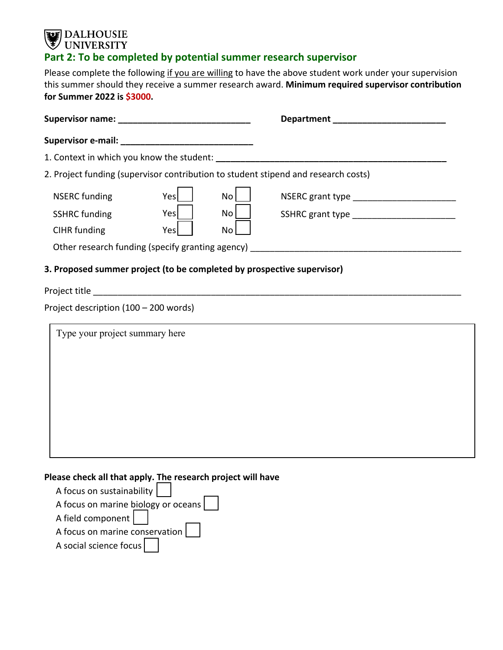# **DALHOUSIE**<br>UNIVERSITY **Part 2: To be completed by potential summer research supervisor**

Please complete the following if you are willing to have the above student work under your supervision this summer should they receive a summer research award. **Minimum required supervisor contribution for Summer 2022 is \$3000.**

|                                                                        |      |                 | 2. Project funding (supervisor contribution to student stipend and research costs) |  |
|------------------------------------------------------------------------|------|-----------------|------------------------------------------------------------------------------------|--|
| <b>NSERC</b> funding                                                   | Yesl | No <sub>1</sub> | NSERC grant type __________________________                                        |  |
| <b>SSHRC</b> funding                                                   | Yes  | No <sub>1</sub> | SSHRC grant type ___________________________                                       |  |
| CIHR funding                                                           | Yes  | No              |                                                                                    |  |
|                                                                        |      |                 | Other research funding (specify granting agency) ________________________________  |  |
| 3. Proposed summer project (to be completed by prospective supervisor) |      |                 |                                                                                    |  |
|                                                                        |      |                 |                                                                                    |  |
| Project description (100 - 200 words)                                  |      |                 |                                                                                    |  |
| Type your project summary here                                         |      |                 |                                                                                    |  |
|                                                                        |      |                 |                                                                                    |  |
|                                                                        |      |                 |                                                                                    |  |
|                                                                        |      |                 |                                                                                    |  |
|                                                                        |      |                 |                                                                                    |  |
|                                                                        |      |                 |                                                                                    |  |
|                                                                        |      |                 |                                                                                    |  |
|                                                                        |      |                 |                                                                                    |  |

**Please check all that apply. The research project will have**

| A focus on sustainability           |
|-------------------------------------|
| A focus on marine biology or oceans |
| A field component                   |
| A focus on marine conservation      |
| A social science focus              |